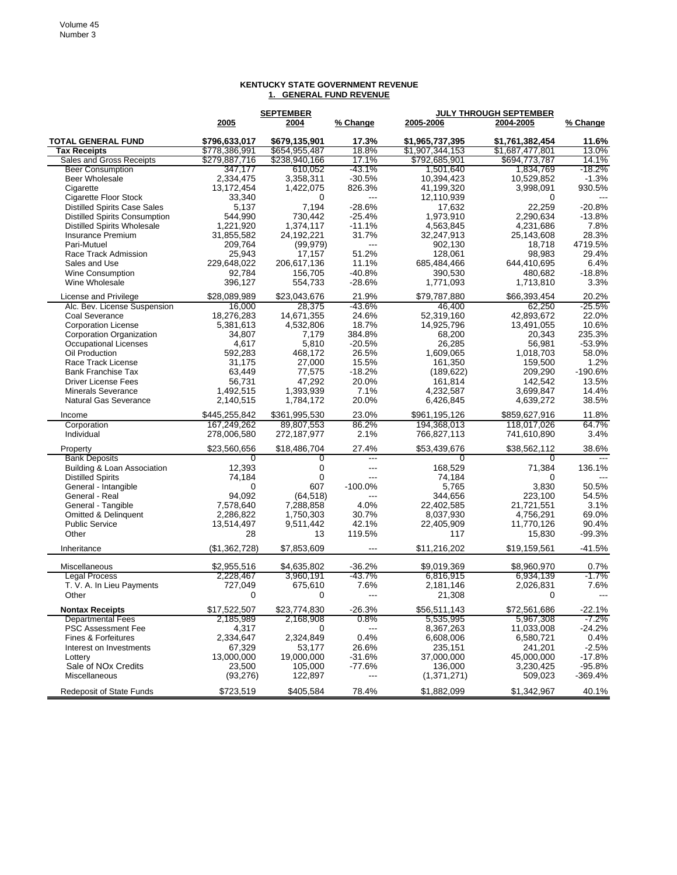## **SEPTEMBER JULY THROUGH SEPTEMBER 2005 2004 % Change 2005-2006 2004-2005 % Change TOTAL GENERAL FUND \$796,633,017 \$679,135,901 17.3% \$1,965,737,395 \$1,761,382,454 11.6% Tax Receipts** \$778,386,991 \$654,955,487 18.8% \$1,907,344,153 \$1,687,477,801 13.0% Sales and Gross Receipts  $$279,887,716$   $$238,940,166$   $$17.1\%$   $$792,685,901$   $$694,773,787$   $$14.1\%$ <br>Beer Consumption  $$347,177$   $$160,052$   $$-43.1\%$   $$1,501,640$   $$1,834,769$   $$1,834,769$   $$-18.2\%$  Beer Consumption 347,177 610,052 -43.1% 1,501,640 1,834,769 -18.2% Beer Wholesale 2,334,475 3,358,311 -30.5% 10,394,423 10,529,852 -1.3% Cigarette 13,172,454 1,422,075 826.3% 41,199,320 3,998,091 930.5% Cigarette Floor Stock 33,340 0 --- 12,110,939 0 --- Distilled Spirits Case Sales 5,137 7,194 -28.6% 17,632 22,259 -20.8% Distilled Spirits Consumption 544,990 730,442 -25.4% 1,973,910 2,290,634 -13.8% Distilled Spirits Wholesale 1,221,920 1,374,117 -11.1% 4,563,845 4,231,686 7.8% Insurance Premium 31,855,582 24,192,221 31.7% 32,247,913 25,143,608 28.3% Pari-Mutuel 209,764 (99,979) --- 902,130 18,718 4719.5% Race Track Admission 25,943 17,157 51.2% 128,061 98,983 29.4%<br>Sales and Use 229,648,022 206,617,136 11.1% 685,484,466 644,410,695 6.4% Sales and Use 229,648,022 206,617,136 11.1% 685,484,466 644,410,695 6.4% Wine Consumption 92,784 156,705 -40.8% 390,530 480,682 -18.8% Wine Wholesale 396,127 554,733 -28.6% 1,771,093 1,713,810 3.3% License and Privilege  $$28,089,989$  \$23,043,676 21.9% \$79,787,880 \$66,393,454 20.2% Alc. Bev. License Suspension 16,000 28,375 -43.6% 46,400 62,250 -25.5% Coal Severance 18,276,283 14,671,355 24.6% 52,319,160 42,893,672 22.0% Corporation License 5,381,613 4,532,806 18.7% 14,925,796 13,491,055 10.6% Corporation Organization 34,807 7,179 384.8% 68,200 20,343 235.3% Occupational Licenses 4,617 5,810 -20.5% 26,285 56,981 -53.9% Oil Production 592,283 468,172 26.5% 1,609,065 1,018,703 58.0% Race Track License 31,175 27,000 15.5% 161,350 159,500 1.2% Bank Franchise Tax 63,449 77,575 -18.2% (189,622) 209,290 -190.6% Driver License Fees 56,731 47,292 20.0% 161,814 142,542 13.5% Minerals Severance 1,492,515 1,393,939 7.1% 4,232,587 3,699,847 14.4% Natural Gas Severance  $2,140,515$   $1,784,172$   $20.0\%$   $6,426,845$   $4,639,272$  Income \$445,255,842 \$361,995,530 23.0% \$961,195,126 \$859,627,916 11.8% Corporation 167,249,262 89,807,553 86.2% 194,368,013 118,017,026 64.7% Individual 278,006,580 272,187,977 2.1% 766,827,113 741,610,890 3.4% Property \$23,560,656 \$18,486,704 27.4% \$53,439,676 \$38,562,112 38.6% Bank Deposits 0 0 --- 0 0 --- Building & Loan Association 12,393 0 --- 168,529 71,384 136.1% Distilled Spirits 74,184 0 --- 74,184 0 --- General - Intangible 0 607 -100.0% 5,765 3,830 50.5% General - Real 94,092 (64,518) --- 344,656 223,100 54.5% General - Tangible 7,578,640 7,288,858 4.0% 22,402,585 21,721,551 3.1% Omitted & Delinquent 2,286,822 1,750,303 30.7% 8,037,930 4,756,291 69.0% Public Service 13,514,497 9,511,442 42.1% 22,405,909 11,770,126 90.4% Other 28 13 119.5% 117 117 15,830 -99.3% Inheritance (\$1,362,728) \$7,853,609 --- \$11,216,202 \$19,159,561 -41.5% Miscellaneous \$2,955,516 \$4,635,802 -36.2% \$9,019,369 \$8,960,970 0.7% Legal Process 2,228,467 3,960,191 -43.7% 6,816,915 6,934,139 -1.7% T. V. A. In Lieu Payments 727,049 675,610 7.6% 2,181,146 2,026,831 7.6% Other 0 0 0 --- 21,308 0 --- **Nontax Receipts** \$17,522,507 \$23,774,830 -26.3% \$56,511,143 \$72,561,686 -22.1% Departmental Fees 2,185,989 2,168,908 0.8% 5,535,995 5,967,308 -7.2% PSC Assessment Fee  $A,317$  0 ---  $B,367,263$  11,033,008 -24.2% Fines & Forfeitures 2,334,647 2,324,849 0.4% 6,608,006 6,580,721 0.4% Interest on Investments 67,329 53,177 26.6% 235,151 241,201 -2.5% Lottery 13,000,000 19,000,000 -31.6% 37,000,000 45,000,000 -17.8% Sale of NOx Credits 23,500 105,000 -77.6% 136,000 3,230,425 -95.8% Miscellaneous (93,276) 122,897 --- (1,371,271) 509,023 -369.4% Redeposit of State Funds **\$723,519** \$405,584 78.4% \$1,882,099 \$1,342,967 40.1%

## **KENTUCKY STATE GOVERNMENT REVENUE 1. GENERAL FUND REVENUE**